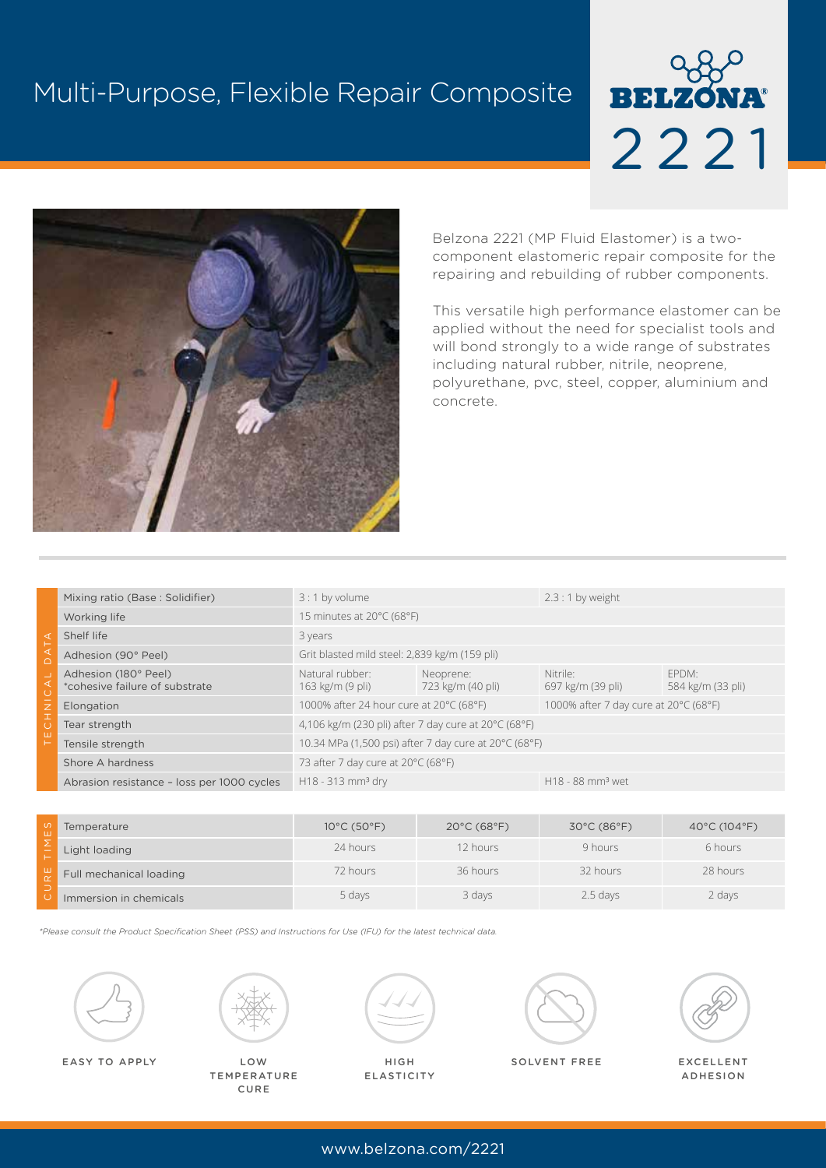# Multi-Purpose, Flexible Repair Composite





Belzona 2221 (MP Fluid Elastomer) is a twocomponent elastomeric repair composite for the repairing and rebuilding of rubber components.

This versatile high performance elastomer can be applied without the need for specialist tools and will bond strongly to a wide range of substrates including natural rubber, nitrile, neoprene, polyurethane, pvc, steel, copper, aluminium and concrete.

| ◁<br>$\cap$<br>$\overline{z}$<br>$\mathbf I$<br>ш | Mixing ratio (Base: Solidifier)                        | $3:1$ by volume                                                           |                                | $2.3:1$ by weight                     |                            |  |
|---------------------------------------------------|--------------------------------------------------------|---------------------------------------------------------------------------|--------------------------------|---------------------------------------|----------------------------|--|
|                                                   | Working life                                           | 15 minutes at 20°C (68°F)                                                 |                                |                                       |                            |  |
|                                                   | Shelf life                                             | 3 years                                                                   |                                |                                       |                            |  |
|                                                   | Adhesion (90° Peel)                                    | Grit blasted mild steel: 2,839 kg/m (159 pli)                             |                                |                                       |                            |  |
|                                                   | Adhesion (180° Peel)<br>*cohesive failure of substrate | Natural rubber:<br>163 kg/m (9 pli)                                       | Neoprene:<br>723 kg/m (40 pli) | Nitrile:<br>697 kg/m (39 pli)         | FPDM:<br>584 kg/m (33 pli) |  |
|                                                   | Elongation                                             | 1000% after 24 hour cure at 20°C (68°F)                                   |                                | 1000% after 7 day cure at 20°C (68°F) |                            |  |
|                                                   | Tear strength                                          | 4,106 kg/m (230 pli) after 7 day cure at $20^{\circ}$ C (68 $^{\circ}$ F) |                                |                                       |                            |  |
|                                                   | Tensile strength                                       | 10.34 MPa (1,500 psi) after 7 day cure at 20°C (68°F)                     |                                |                                       |                            |  |
|                                                   | Shore A hardness                                       | 73 after 7 day cure at 20°C (68°F)                                        |                                |                                       |                            |  |
|                                                   | Abrasion resistance - loss per 1000 cycles             | H18 - 313 mm <sup>3</sup> dry                                             |                                | $H18 - 88$ mm <sup>3</sup> wet        |                            |  |

| $\sigma$<br>ш | Temperature             | $10^{\circ}$ C (50 $^{\circ}$ F) | $20^{\circ}$ C (68 $^{\circ}$ F) | 30°C (86°F) | 40 $^{\circ}$ C (104 $^{\circ}$ F) |
|---------------|-------------------------|----------------------------------|----------------------------------|-------------|------------------------------------|
|               | Light loading           | 24 hours                         | 12 hours                         | 9 hours     | 6 hours                            |
| ш             | Full mechanical loading | 72 hours                         | 36 hours                         | 32 hours    | 28 hours                           |
|               | Immersion in chemicals  | 5 days                           | 3 days                           | $2.5$ days  | 2 days                             |

*\*Please consult the Product Specification Sheet (PSS) and Instructions for Use (IFU) for the latest technical data.*





LOW **TEMPERATURE** CURE



HIGH **ELASTICITY** 





EXCELLENT ADHESION